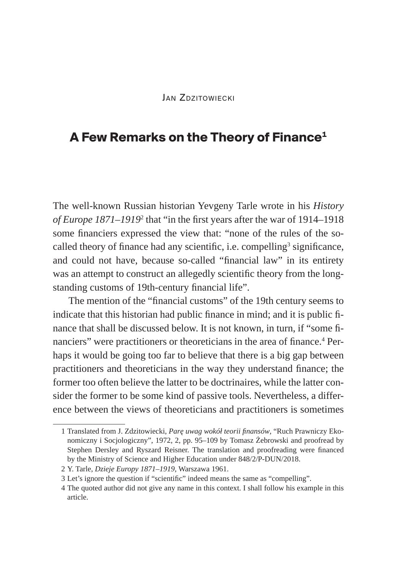## **JAN ZDZITOWIECKI**

## **A Few Remarks on the Theory of Finance1**

The well-known Russian historian Yevgeny Tarle wrote in his *History of Europe 1871–1919*<sup>2</sup> that "in the first years after the war of 1914–1918 some financiers expressed the view that: "none of the rules of the socalled theory of finance had any scientific, i.e. compelling<sup>3</sup> significance, and could not have, because so-called "financial law" in its entirety was an attempt to construct an allegedly scientific theory from the longstanding customs of 19th-century financial life".

The mention of the "financial customs" of the 19th century seems to indicate that this historian had public finance in mind; and it is public finance that shall be discussed below. It is not known, in turn, if "some financiers" were practitioners or theoreticians in the area of finance.<sup>4</sup> Perhaps it would be going too far to believe that there is a big gap between practitioners and theoreticians in the way they understand finance; the former too often believe the latter to be doctrinaires, while the latter consider the former to be some kind of passive tools. Nevertheless, a difference between the views of theoreticians and practitioners is sometimes

<sup>1</sup> Translated from J. Zdzitowiecki, *Parę uwag wokół teorii finansów*, "Ruch Prawniczy Ekonomiczny i Socjologiczny", 1972, 2, pp. 95–109 by Tomasz Żebrowski and proofread by Stephen Dersley and Ryszard Reisner. The translation and proofreading were financed by the Ministry of Science and Higher Education under 848/2/P-DUN/2018.

<sup>2</sup> Y. Tarle, *Dzieje Europy 1871–1919*, Warszawa 1961.

<sup>3</sup> Let's ignore the question if "scientific" indeed means the same as "compelling".

<sup>4</sup> The quoted author did not give any name in this context. I shall follow his example in this article.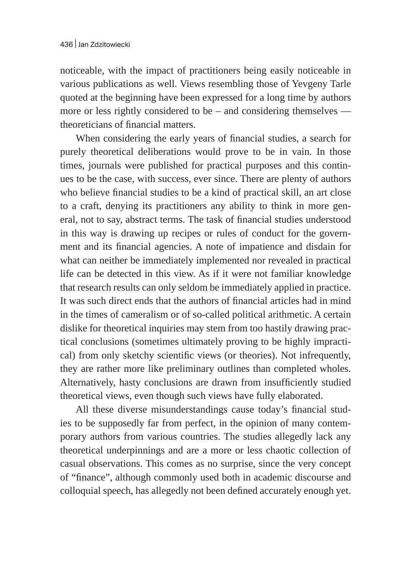noticeable, with the impact of practitioners being easily noticeable in various publications as well. Views resembling those of Yevgeny Tarle quoted at the beginning have been expressed for a long time by authors more or less rightly considered to be – and considering themselves theoreticians of financial matters.

When considering the early years of financial studies, a search for purely theoretical deliberations would prove to be in vain. In those times, journals were published for practical purposes and this continues to be the case, with success, ever since. There are plenty of authors who believe financial studies to be a kind of practical skill, an art close to a craft, denying its practitioners any ability to think in more general, not to say, abstract terms. The task of financial studies understood in this way is drawing up recipes or rules of conduct for the government and its financial agencies. A note of impatience and disdain for what can neither be immediately implemented nor revealed in practical life can be detected in this view. As if it were not familiar knowledge that research results can only seldom be immediately applied in practice. It was such direct ends that the authors of financial articles had in mind in the times of cameralism or of so-called political arithmetic. A certain dislike for theoretical inquiries may stem from too hastily drawing practical conclusions (sometimes ultimately proving to be highly impractical) from only sketchy scientific views (or theories). Not infrequently, they are rather more like preliminary outlines than completed wholes. Alternatively, hasty conclusions are drawn from insufficiently studied theoretical views, even though such views have fully elaborated.

All these diverse misunderstandings cause today's financial studies to be supposedly far from perfect, in the opinion of many contemporary authors from various countries. The studies allegedly lack any theoretical underpinnings and are a more or less chaotic collection of casual observations. This comes as no surprise, since the very concept of "finance", although commonly used both in academic discourse and colloquial speech, has allegedly not been defined accurately enough yet.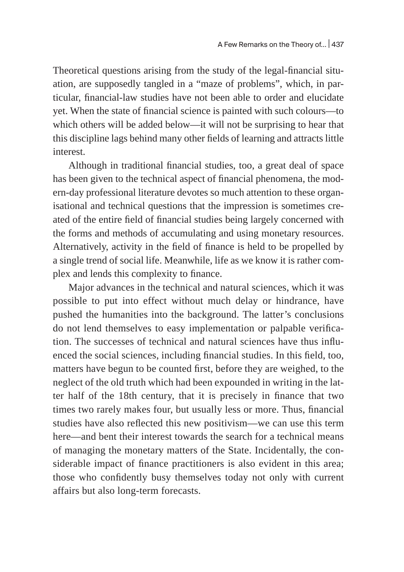Theoretical questions arising from the study of the legal-financial situation, are supposedly tangled in a "maze of problems", which, in particular, financial-law studies have not been able to order and elucidate yet. When the state of financial science is painted with such colours—to which others will be added below—it will not be surprising to hear that this discipline lags behind many other fields of learning and attracts little interest.

Although in traditional financial studies, too, a great deal of space has been given to the technical aspect of financial phenomena, the modern-day professional literature devotes so much attention to these organisational and technical questions that the impression is sometimes created of the entire field of financial studies being largely concerned with the forms and methods of accumulating and using monetary resources. Alternatively, activity in the field of finance is held to be propelled by a single trend of social life. Meanwhile, life as we know it is rather complex and lends this complexity to finance.

Major advances in the technical and natural sciences, which it was possible to put into effect without much delay or hindrance, have pushed the humanities into the background. The latter's conclusions do not lend themselves to easy implementation or palpable verification. The successes of technical and natural sciences have thus influenced the social sciences, including financial studies. In this field, too, matters have begun to be counted first, before they are weighed, to the neglect of the old truth which had been expounded in writing in the latter half of the 18th century, that it is precisely in finance that two times two rarely makes four, but usually less or more. Thus, financial studies have also reflected this new positivism—we can use this term here—and bent their interest towards the search for a technical means of managing the monetary matters of the State. Incidentally, the considerable impact of finance practitioners is also evident in this area; those who confidently busy themselves today not only with current affairs but also long-term forecasts.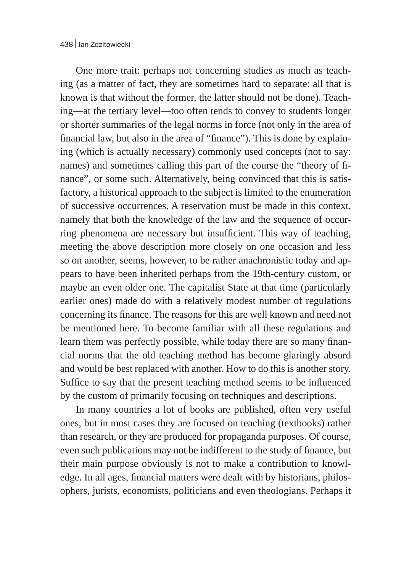One more trait: perhaps not concerning studies as much as teaching (as a matter of fact, they are sometimes hard to separate: all that is known is that without the former, the latter should not be done). Teaching—at the tertiary level—too often tends to convey to students longer or shorter summaries of the legal norms in force (not only in the area of financial law, but also in the area of "finance"). This is done by explaining (which is actually necessary) commonly used concepts (not to say: names) and sometimes calling this part of the course the "theory of finance", or some such. Alternatively, being convinced that this is satisfactory, a historical approach to the subject is limited to the enumeration of successive occurrences. A reservation must be made in this context, namely that both the knowledge of the law and the sequence of occurring phenomena are necessary but insufficient. This way of teaching, meeting the above description more closely on one occasion and less so on another, seems, however, to be rather anachronistic today and appears to have been inherited perhaps from the 19th-century custom, or maybe an even older one. The capitalist State at that time (particularly earlier ones) made do with a relatively modest number of regulations concerning its finance. The reasons for this are well known and need not be mentioned here. To become familiar with all these regulations and learn them was perfectly possible, while today there are so many financial norms that the old teaching method has become glaringly absurd and would be best replaced with another. How to do this is another story. Suffice to say that the present teaching method seems to be influenced by the custom of primarily focusing on techniques and descriptions.

In many countries a lot of books are published, often very useful ones, but in most cases they are focused on teaching (textbooks) rather than research, or they are produced for propaganda purposes. Of course, even such publications may not be indifferent to the study of finance, but their main purpose obviously is not to make a contribution to knowledge. In all ages, financial matters were dealt with by historians, philosophers, jurists, economists, politicians and even theologians. Perhaps it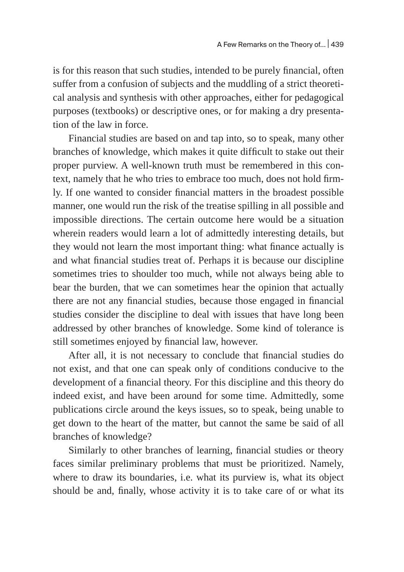is for this reason that such studies, intended to be purely financial, often suffer from a confusion of subjects and the muddling of a strict theoretical analysis and synthesis with other approaches, either for pedagogical purposes (textbooks) or descriptive ones, or for making a dry presentation of the law in force.

Financial studies are based on and tap into, so to speak, many other branches of knowledge, which makes it quite difficult to stake out their proper purview. A well-known truth must be remembered in this context, namely that he who tries to embrace too much, does not hold firmly. If one wanted to consider financial matters in the broadest possible manner, one would run the risk of the treatise spilling in all possible and impossible directions. The certain outcome here would be a situation wherein readers would learn a lot of admittedly interesting details, but they would not learn the most important thing: what finance actually is and what financial studies treat of. Perhaps it is because our discipline sometimes tries to shoulder too much, while not always being able to bear the burden, that we can sometimes hear the opinion that actually there are not any financial studies, because those engaged in financial studies consider the discipline to deal with issues that have long been addressed by other branches of knowledge. Some kind of tolerance is still sometimes enjoyed by financial law, however.

After all, it is not necessary to conclude that financial studies do not exist, and that one can speak only of conditions conducive to the development of a financial theory. For this discipline and this theory do indeed exist, and have been around for some time. Admittedly, some publications circle around the keys issues, so to speak, being unable to get down to the heart of the matter, but cannot the same be said of all branches of knowledge?

Similarly to other branches of learning, financial studies or theory faces similar preliminary problems that must be prioritized. Namely, where to draw its boundaries, i.e. what its purview is, what its object should be and, finally, whose activity it is to take care of or what its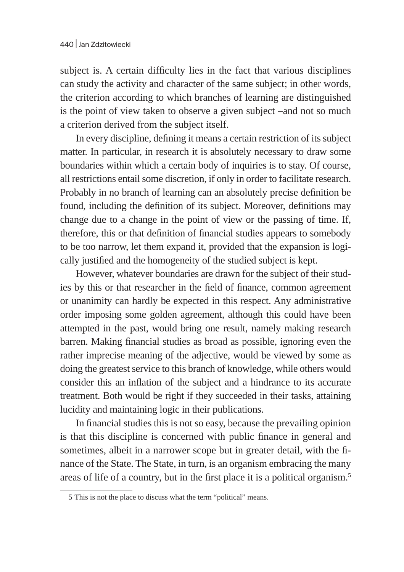subject is. A certain difficulty lies in the fact that various disciplines can study the activity and character of the same subject; in other words, the criterion according to which branches of learning are distinguished is the point of view taken to observe a given subject –and not so much a criterion derived from the subject itself.

In every discipline, defining it means a certain restriction of its subject matter. In particular, in research it is absolutely necessary to draw some boundaries within which a certain body of inquiries is to stay. Of course, all restrictions entail some discretion, if only in order to facilitate research. Probably in no branch of learning can an absolutely precise definition be found, including the definition of its subject. Moreover, definitions may change due to a change in the point of view or the passing of time. If, therefore, this or that definition of financial studies appears to somebody to be too narrow, let them expand it, provided that the expansion is logically justified and the homogeneity of the studied subject is kept.

However, whatever boundaries are drawn for the subject of their studies by this or that researcher in the field of finance, common agreement or unanimity can hardly be expected in this respect. Any administrative order imposing some golden agreement, although this could have been attempted in the past, would bring one result, namely making research barren. Making financial studies as broad as possible, ignoring even the rather imprecise meaning of the adjective, would be viewed by some as doing the greatest service to this branch of knowledge, while others would consider this an inflation of the subject and a hindrance to its accurate treatment. Both would be right if they succeeded in their tasks, attaining lucidity and maintaining logic in their publications.

In financial studies this is not so easy, because the prevailing opinion is that this discipline is concerned with public finance in general and sometimes, albeit in a narrower scope but in greater detail, with the finance of the State. The State, in turn, is an organism embracing the many areas of life of a country, but in the first place it is a political organism.<sup>5</sup>

<sup>5</sup> This is not the place to discuss what the term "political" means.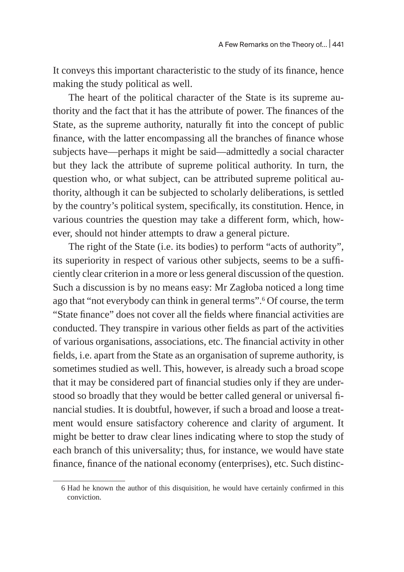It conveys this important characteristic to the study of its finance, hence making the study political as well.

The heart of the political character of the State is its supreme authority and the fact that it has the attribute of power. The finances of the State, as the supreme authority, naturally fit into the concept of public finance, with the latter encompassing all the branches of finance whose subjects have—perhaps it might be said—admittedly a social character but they lack the attribute of supreme political authority. In turn, the question who, or what subject, can be attributed supreme political authority, although it can be subjected to scholarly deliberations, is settled by the country's political system, specifically, its constitution. Hence, in various countries the question may take a different form, which, however, should not hinder attempts to draw a general picture.

The right of the State (i.e. its bodies) to perform "acts of authority", its superiority in respect of various other subjects, seems to be a sufficiently clear criterion in a more or less general discussion of the question. Such a discussion is by no means easy: Mr Zagłoba noticed a long time ago that "not everybody can think in general terms".6 Of course, the term "State finance" does not cover all the fields where financial activities are conducted. They transpire in various other fields as part of the activities of various organisations, associations, etc. The financial activity in other fields, i.e. apart from the State as an organisation of supreme authority, is sometimes studied as well. This, however, is already such a broad scope that it may be considered part of financial studies only if they are understood so broadly that they would be better called general or universal financial studies. It is doubtful, however, if such a broad and loose a treatment would ensure satisfactory coherence and clarity of argument. It might be better to draw clear lines indicating where to stop the study of each branch of this universality; thus, for instance, we would have state finance, finance of the national economy (enterprises), etc. Such distinc-

<sup>6</sup> Had he known the author of this disquisition, he would have certainly confirmed in this conviction.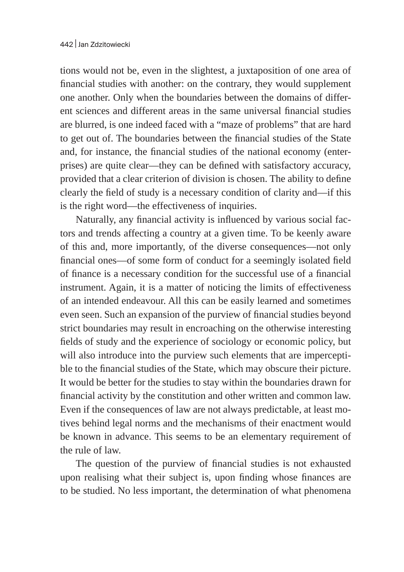tions would not be, even in the slightest, a juxtaposition of one area of financial studies with another: on the contrary, they would supplement one another. Only when the boundaries between the domains of different sciences and different areas in the same universal financial studies are blurred, is one indeed faced with a "maze of problems" that are hard to get out of. The boundaries between the financial studies of the State and, for instance, the financial studies of the national economy (enterprises) are quite clear—they can be defined with satisfactory accuracy, provided that a clear criterion of division is chosen. The ability to define clearly the field of study is a necessary condition of clarity and—if this is the right word—the effectiveness of inquiries.

Naturally, any financial activity is influenced by various social factors and trends affecting a country at a given time. To be keenly aware of this and, more importantly, of the diverse consequences—not only financial ones—of some form of conduct for a seemingly isolated field of finance is a necessary condition for the successful use of a financial instrument. Again, it is a matter of noticing the limits of effectiveness of an intended endeavour. All this can be easily learned and sometimes even seen. Such an expansion of the purview of financial studies beyond strict boundaries may result in encroaching on the otherwise interesting fields of study and the experience of sociology or economic policy, but will also introduce into the purview such elements that are imperceptible to the financial studies of the State, which may obscure their picture. It would be better for the studies to stay within the boundaries drawn for financial activity by the constitution and other written and common law. Even if the consequences of law are not always predictable, at least motives behind legal norms and the mechanisms of their enactment would be known in advance. This seems to be an elementary requirement of the rule of law.

The question of the purview of financial studies is not exhausted upon realising what their subject is, upon finding whose finances are to be studied. No less important, the determination of what phenomena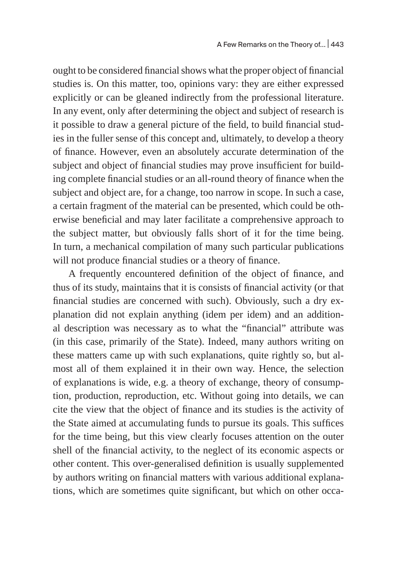ought to be considered financial shows what the proper object of financial studies is. On this matter, too, opinions vary: they are either expressed explicitly or can be gleaned indirectly from the professional literature. In any event, only after determining the object and subject of research is it possible to draw a general picture of the field, to build financial studies in the fuller sense of this concept and, ultimately, to develop a theory of finance. However, even an absolutely accurate determination of the subject and object of financial studies may prove insufficient for building complete financial studies or an all-round theory of finance when the subject and object are, for a change, too narrow in scope. In such a case, a certain fragment of the material can be presented, which could be otherwise beneficial and may later facilitate a comprehensive approach to the subject matter, but obviously falls short of it for the time being. In turn, a mechanical compilation of many such particular publications will not produce financial studies or a theory of finance.

A frequently encountered definition of the object of finance, and thus of its study, maintains that it is consists of financial activity (or that financial studies are concerned with such). Obviously, such a dry explanation did not explain anything (idem per idem) and an additional description was necessary as to what the "financial" attribute was (in this case, primarily of the State). Indeed, many authors writing on these matters came up with such explanations, quite rightly so, but almost all of them explained it in their own way. Hence, the selection of explanations is wide, e.g. a theory of exchange, theory of consumption, production, reproduction, etc. Without going into details, we can cite the view that the object of finance and its studies is the activity of the State aimed at accumulating funds to pursue its goals. This suffices for the time being, but this view clearly focuses attention on the outer shell of the financial activity, to the neglect of its economic aspects or other content. This over-generalised definition is usually supplemented by authors writing on financial matters with various additional explanations, which are sometimes quite significant, but which on other occa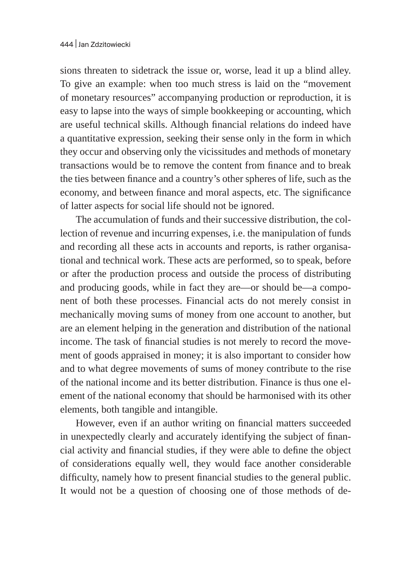sions threaten to sidetrack the issue or, worse, lead it up a blind alley. To give an example: when too much stress is laid on the "movement of monetary resources" accompanying production or reproduction, it is easy to lapse into the ways of simple bookkeeping or accounting, which are useful technical skills. Although financial relations do indeed have a quantitative expression, seeking their sense only in the form in which they occur and observing only the vicissitudes and methods of monetary transactions would be to remove the content from finance and to break the ties between finance and a country's other spheres of life, such as the economy, and between finance and moral aspects, etc. The significance of latter aspects for social life should not be ignored.

The accumulation of funds and their successive distribution, the collection of revenue and incurring expenses, i.e. the manipulation of funds and recording all these acts in accounts and reports, is rather organisational and technical work. These acts are performed, so to speak, before or after the production process and outside the process of distributing and producing goods, while in fact they are—or should be—a component of both these processes. Financial acts do not merely consist in mechanically moving sums of money from one account to another, but are an element helping in the generation and distribution of the national income. The task of financial studies is not merely to record the movement of goods appraised in money; it is also important to consider how and to what degree movements of sums of money contribute to the rise of the national income and its better distribution. Finance is thus one element of the national economy that should be harmonised with its other elements, both tangible and intangible.

However, even if an author writing on financial matters succeeded in unexpectedly clearly and accurately identifying the subject of financial activity and financial studies, if they were able to define the object of considerations equally well, they would face another considerable difficulty, namely how to present financial studies to the general public. It would not be a question of choosing one of those methods of de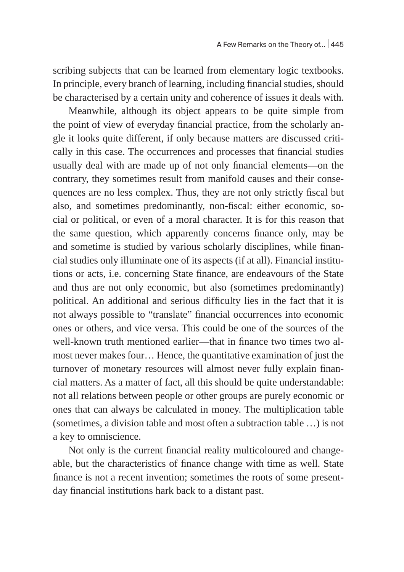scribing subjects that can be learned from elementary logic textbooks. In principle, every branch of learning, including financial studies, should be characterised by a certain unity and coherence of issues it deals with.

Meanwhile, although its object appears to be quite simple from the point of view of everyday financial practice, from the scholarly angle it looks quite different, if only because matters are discussed critically in this case. The occurrences and processes that financial studies usually deal with are made up of not only financial elements—on the contrary, they sometimes result from manifold causes and their consequences are no less complex. Thus, they are not only strictly fiscal but also, and sometimes predominantly, non-fiscal: either economic, social or political, or even of a moral character. It is for this reason that the same question, which apparently concerns finance only, may be and sometime is studied by various scholarly disciplines, while financial studies only illuminate one of its aspects (if at all). Financial institutions or acts, i.e. concerning State finance, are endeavours of the State and thus are not only economic, but also (sometimes predominantly) political. An additional and serious difficulty lies in the fact that it is not always possible to "translate" financial occurrences into economic ones or others, and vice versa. This could be one of the sources of the well-known truth mentioned earlier—that in finance two times two almost never makes four… Hence, the quantitative examination of just the turnover of monetary resources will almost never fully explain financial matters. As a matter of fact, all this should be quite understandable: not all relations between people or other groups are purely economic or ones that can always be calculated in money. The multiplication table (sometimes, a division table and most often a subtraction table …) is not a key to omniscience.

Not only is the current financial reality multicoloured and changeable, but the characteristics of finance change with time as well. State finance is not a recent invention; sometimes the roots of some presentday financial institutions hark back to a distant past.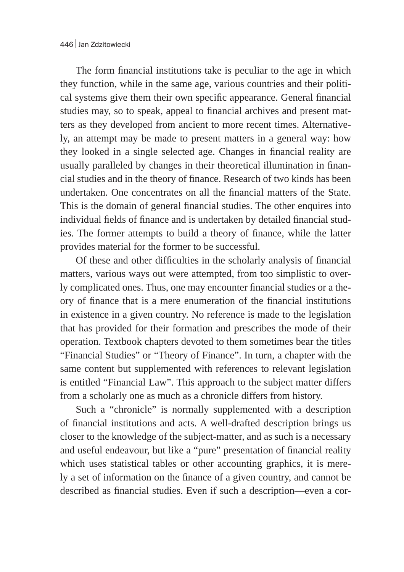The form financial institutions take is peculiar to the age in which they function, while in the same age, various countries and their political systems give them their own specific appearance. General financial studies may, so to speak, appeal to financial archives and present matters as they developed from ancient to more recent times. Alternatively, an attempt may be made to present matters in a general way: how they looked in a single selected age. Changes in financial reality are usually paralleled by changes in their theoretical illumination in financial studies and in the theory of finance. Research of two kinds has been undertaken. One concentrates on all the financial matters of the State. This is the domain of general financial studies. The other enquires into individual fields of finance and is undertaken by detailed financial studies. The former attempts to build a theory of finance, while the latter provides material for the former to be successful.

Of these and other difficulties in the scholarly analysis of financial matters, various ways out were attempted, from too simplistic to overly complicated ones. Thus, one may encounter financial studies or a theory of finance that is a mere enumeration of the financial institutions in existence in a given country. No reference is made to the legislation that has provided for their formation and prescribes the mode of their operation. Textbook chapters devoted to them sometimes bear the titles "Financial Studies" or "Theory of Finance". In turn, a chapter with the same content but supplemented with references to relevant legislation is entitled "Financial Law". This approach to the subject matter differs from a scholarly one as much as a chronicle differs from history.

Such a "chronicle" is normally supplemented with a description of financial institutions and acts. A well-drafted description brings us closer to the knowledge of the subject-matter, and as such is a necessary and useful endeavour, but like a "pure" presentation of financial reality which uses statistical tables or other accounting graphics, it is merely a set of information on the finance of a given country, and cannot be described as financial studies. Even if such a description—even a cor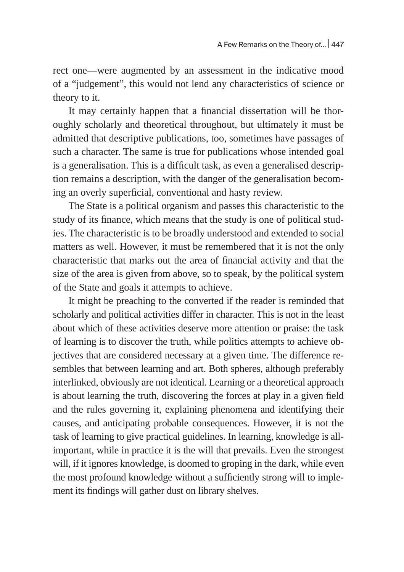rect one—were augmented by an assessment in the indicative mood of a "judgement", this would not lend any characteristics of science or theory to it.

It may certainly happen that a financial dissertation will be thoroughly scholarly and theoretical throughout, but ultimately it must be admitted that descriptive publications, too, sometimes have passages of such a character. The same is true for publications whose intended goal is a generalisation. This is a difficult task, as even a generalised description remains a description, with the danger of the generalisation becoming an overly superficial, conventional and hasty review.

The State is a political organism and passes this characteristic to the study of its finance, which means that the study is one of political studies. The characteristic is to be broadly understood and extended to social matters as well. However, it must be remembered that it is not the only characteristic that marks out the area of financial activity and that the size of the area is given from above, so to speak, by the political system of the State and goals it attempts to achieve.

It might be preaching to the converted if the reader is reminded that scholarly and political activities differ in character. This is not in the least about which of these activities deserve more attention or praise: the task of learning is to discover the truth, while politics attempts to achieve objectives that are considered necessary at a given time. The difference resembles that between learning and art. Both spheres, although preferably interlinked, obviously are not identical. Learning or a theoretical approach is about learning the truth, discovering the forces at play in a given field and the rules governing it, explaining phenomena and identifying their causes, and anticipating probable consequences. However, it is not the task of learning to give practical guidelines. In learning, knowledge is allimportant, while in practice it is the will that prevails. Even the strongest will, if it ignores knowledge, is doomed to groping in the dark, while even the most profound knowledge without a sufficiently strong will to implement its findings will gather dust on library shelves.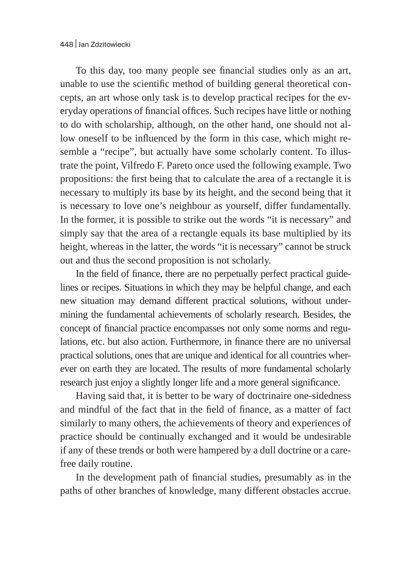To this day, too many people see financial studies only as an art, unable to use the scientific method of building general theoretical concepts, an art whose only task is to develop practical recipes for the everyday operations of financial offices. Such recipes have little or nothing to do with scholarship, although, on the other hand, one should not allow oneself to be influenced by the form in this case, which might resemble a "recipe", but actually have some scholarly content. To illustrate the point, Vilfredo F. Pareto once used the following example. Two propositions: the first being that to calculate the area of a rectangle it is necessary to multiply its base by its height, and the second being that it is necessary to love one's neighbour as yourself, differ fundamentally. In the former, it is possible to strike out the words "it is necessary" and simply say that the area of a rectangle equals its base multiplied by its height, whereas in the latter, the words "it is necessary" cannot be struck out and thus the second proposition is not scholarly.

In the field of finance, there are no perpetually perfect practical guidelines or recipes. Situations in which they may be helpful change, and each new situation may demand different practical solutions, without undermining the fundamental achievements of scholarly research. Besides, the concept of financial practice encompasses not only some norms and regulations, etc. but also action. Furthermore, in finance there are no universal practical solutions, ones that are unique and identical for all countries wherever on earth they are located. The results of more fundamental scholarly research just enjoy a slightly longer life and a more general significance.

Having said that, it is better to be wary of doctrinaire one-sidedness and mindful of the fact that in the field of finance, as a matter of fact similarly to many others, the achievements of theory and experiences of practice should be continually exchanged and it would be undesirable if any of these trends or both were hampered by a dull doctrine or a carefree daily routine.

In the development path of financial studies, presumably as in the paths of other branches of knowledge, many different obstacles accrue.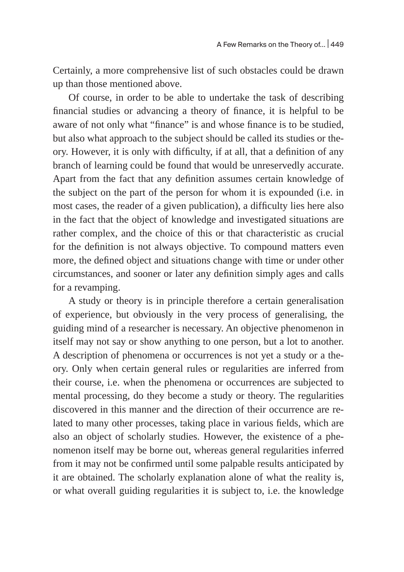Certainly, a more comprehensive list of such obstacles could be drawn up than those mentioned above.

Of course, in order to be able to undertake the task of describing financial studies or advancing a theory of finance, it is helpful to be aware of not only what "finance" is and whose finance is to be studied, but also what approach to the subject should be called its studies or theory. However, it is only with difficulty, if at all, that a definition of any branch of learning could be found that would be unreservedly accurate. Apart from the fact that any definition assumes certain knowledge of the subject on the part of the person for whom it is expounded (i.e. in most cases, the reader of a given publication), a difficulty lies here also in the fact that the object of knowledge and investigated situations are rather complex, and the choice of this or that characteristic as crucial for the definition is not always objective. To compound matters even more, the defined object and situations change with time or under other circumstances, and sooner or later any definition simply ages and calls for a revamping.

A study or theory is in principle therefore a certain generalisation of experience, but obviously in the very process of generalising, the guiding mind of a researcher is necessary. An objective phenomenon in itself may not say or show anything to one person, but a lot to another. A description of phenomena or occurrences is not yet a study or a theory. Only when certain general rules or regularities are inferred from their course, i.e. when the phenomena or occurrences are subjected to mental processing, do they become a study or theory. The regularities discovered in this manner and the direction of their occurrence are related to many other processes, taking place in various fields, which are also an object of scholarly studies. However, the existence of a phenomenon itself may be borne out, whereas general regularities inferred from it may not be confirmed until some palpable results anticipated by it are obtained. The scholarly explanation alone of what the reality is, or what overall guiding regularities it is subject to, i.e. the knowledge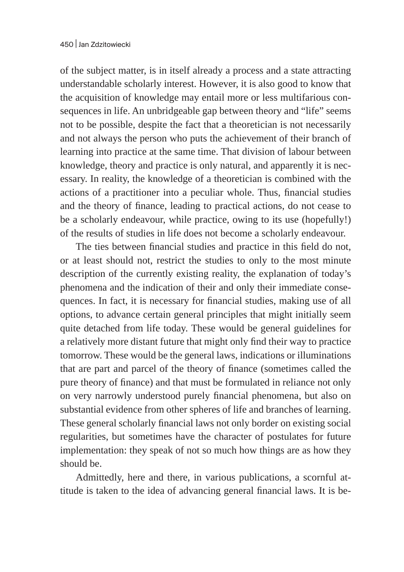of the subject matter, is in itself already a process and a state attracting understandable scholarly interest. However, it is also good to know that the acquisition of knowledge may entail more or less multifarious consequences in life. An unbridgeable gap between theory and "life" seems not to be possible, despite the fact that a theoretician is not necessarily and not always the person who puts the achievement of their branch of learning into practice at the same time. That division of labour between knowledge, theory and practice is only natural, and apparently it is necessary. In reality, the knowledge of a theoretician is combined with the actions of a practitioner into a peculiar whole. Thus, financial studies and the theory of finance, leading to practical actions, do not cease to be a scholarly endeavour, while practice, owing to its use (hopefully!) of the results of studies in life does not become a scholarly endeavour.

The ties between financial studies and practice in this field do not, or at least should not, restrict the studies to only to the most minute description of the currently existing reality, the explanation of today's phenomena and the indication of their and only their immediate consequences. In fact, it is necessary for financial studies, making use of all options, to advance certain general principles that might initially seem quite detached from life today. These would be general guidelines for a relatively more distant future that might only find their way to practice tomorrow. These would be the general laws, indications or illuminations that are part and parcel of the theory of finance (sometimes called the pure theory of finance) and that must be formulated in reliance not only on very narrowly understood purely financial phenomena, but also on substantial evidence from other spheres of life and branches of learning. These general scholarly financial laws not only border on existing social regularities, but sometimes have the character of postulates for future implementation: they speak of not so much how things are as how they should be.

Admittedly, here and there, in various publications, a scornful attitude is taken to the idea of advancing general financial laws. It is be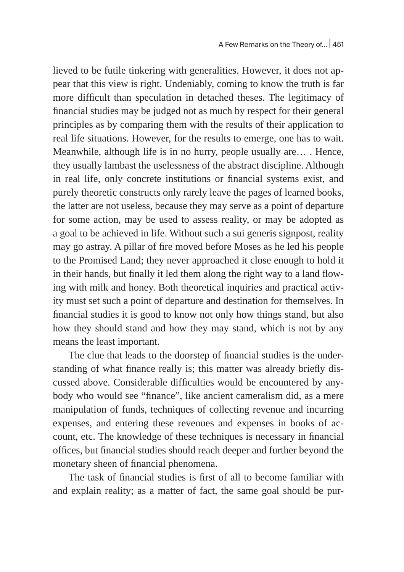lieved to be futile tinkering with generalities. However, it does not appear that this view is right. Undeniably, coming to know the truth is far more difficult than speculation in detached theses. The legitimacy of financial studies may be judged not as much by respect for their general principles as by comparing them with the results of their application to real life situations. However, for the results to emerge, one has to wait. Meanwhile, although life is in no hurry, people usually are… . Hence, they usually lambast the uselessness of the abstract discipline. Although in real life, only concrete institutions or financial systems exist, and purely theoretic constructs only rarely leave the pages of learned books, the latter are not useless, because they may serve as a point of departure for some action, may be used to assess reality, or may be adopted as a goal to be achieved in life. Without such a sui generis signpost, reality may go astray. A pillar of fire moved before Moses as he led his people to the Promised Land; they never approached it close enough to hold it in their hands, but finally it led them along the right way to a land flowing with milk and honey. Both theoretical inquiries and practical activity must set such a point of departure and destination for themselves. In financial studies it is good to know not only how things stand, but also how they should stand and how they may stand, which is not by any means the least important.

The clue that leads to the doorstep of financial studies is the understanding of what finance really is; this matter was already briefly discussed above. Considerable difficulties would be encountered by anybody who would see "finance", like ancient cameralism did, as a mere manipulation of funds, techniques of collecting revenue and incurring expenses, and entering these revenues and expenses in books of account, etc. The knowledge of these techniques is necessary in financial offices, but financial studies should reach deeper and further beyond the monetary sheen of financial phenomena.

The task of financial studies is first of all to become familiar with and explain reality; as a matter of fact, the same goal should be pur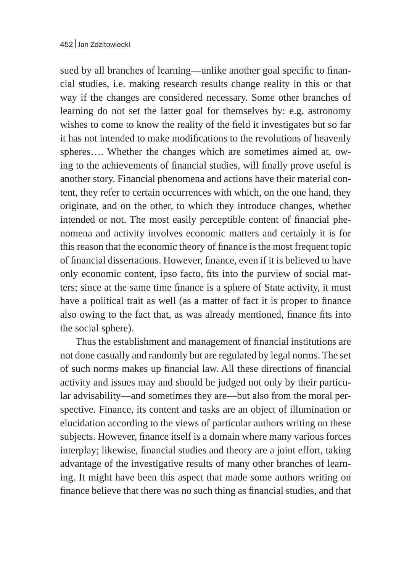sued by all branches of learning—unlike another goal specific to financial studies, i.e. making research results change reality in this or that way if the changes are considered necessary. Some other branches of learning do not set the latter goal for themselves by: e.g. astronomy wishes to come to know the reality of the field it investigates but so far it has not intended to make modifications to the revolutions of heavenly spheres…. Whether the changes which are sometimes aimed at, owing to the achievements of financial studies, will finally prove useful is another story. Financial phenomena and actions have their material content, they refer to certain occurrences with which, on the one hand, they originate, and on the other, to which they introduce changes, whether intended or not. The most easily perceptible content of financial phenomena and activity involves economic matters and certainly it is for this reason that the economic theory of finance is the most frequent topic of financial dissertations. However, finance, even if it is believed to have only economic content, ipso facto, fits into the purview of social matters; since at the same time finance is a sphere of State activity, it must have a political trait as well (as a matter of fact it is proper to finance also owing to the fact that, as was already mentioned, finance fits into the social sphere).

Thus the establishment and management of financial institutions are not done casually and randomly but are regulated by legal norms. The set of such norms makes up financial law. All these directions of financial activity and issues may and should be judged not only by their particular advisability—and sometimes they are—but also from the moral perspective. Finance, its content and tasks are an object of illumination or elucidation according to the views of particular authors writing on these subjects. However, finance itself is a domain where many various forces interplay; likewise, financial studies and theory are a joint effort, taking advantage of the investigative results of many other branches of learning. It might have been this aspect that made some authors writing on finance believe that there was no such thing as financial studies, and that